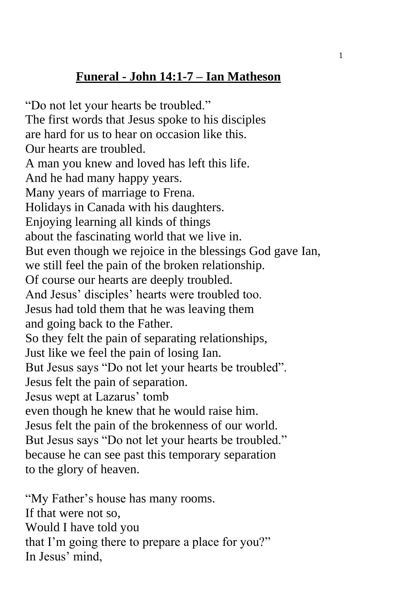## **Funeral - John 14:1-7 – Ian Matheson**

"Do not let your hearts be troubled." The first words that Jesus spoke to his disciples are hard for us to hear on occasion like this. Our hearts are troubled. A man you knew and loved has left this life. And he had many happy years. Many years of marriage to Frena. Holidays in Canada with his daughters. Enjoying learning all kinds of things about the fascinating world that we live in. But even though we rejoice in the blessings God gave Ian, we still feel the pain of the broken relationship. Of course our hearts are deeply troubled. And Jesus' disciples' hearts were troubled too. Jesus had told them that he was leaving them and going back to the Father. So they felt the pain of separating relationships, Just like we feel the pain of losing Ian. But Jesus says "Do not let your hearts be troubled". Jesus felt the pain of separation. Jesus wept at Lazarus' tomb even though he knew that he would raise him. Jesus felt the pain of the brokenness of our world. But Jesus says "Do not let your hearts be troubled." because he can see past this temporary separation to the glory of heaven.

"My Father's house has many rooms. If that were not so, Would I have told you that I'm going there to prepare a place for you?" In Jesus' mind,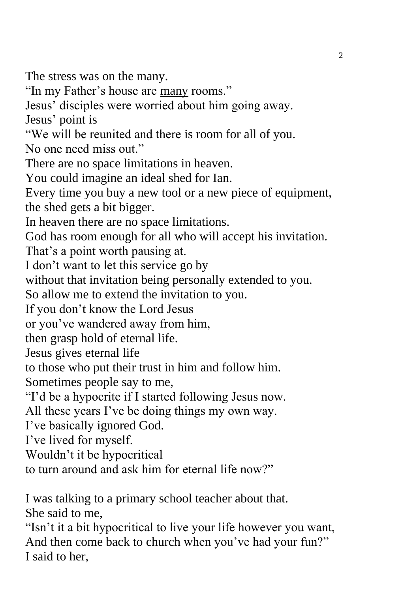The stress was on the many.

"In my Father's house are many rooms."

Jesus' disciples were worried about him going away.

Jesus' point is

"We will be reunited and there is room for all of you.

No one need miss out."

There are no space limitations in heaven.

You could imagine an ideal shed for Ian.

Every time you buy a new tool or a new piece of equipment, the shed gets a bit bigger.

In heaven there are no space limitations.

God has room enough for all who will accept his invitation.

That's a point worth pausing at.

I don't want to let this service go by

without that invitation being personally extended to you.

So allow me to extend the invitation to you.

If you don't know the Lord Jesus

or you've wandered away from him,

then grasp hold of eternal life.

Jesus gives eternal life

to those who put their trust in him and follow him.

Sometimes people say to me,

"I'd be a hypocrite if I started following Jesus now.

All these years I've be doing things my own way.

I've basically ignored God.

I've lived for myself.

Wouldn't it be hypocritical

to turn around and ask him for eternal life now?"

I was talking to a primary school teacher about that. She said to me,

"Isn't it a bit hypocritical to live your life however you want, And then come back to church when you've had your fun?" I said to her,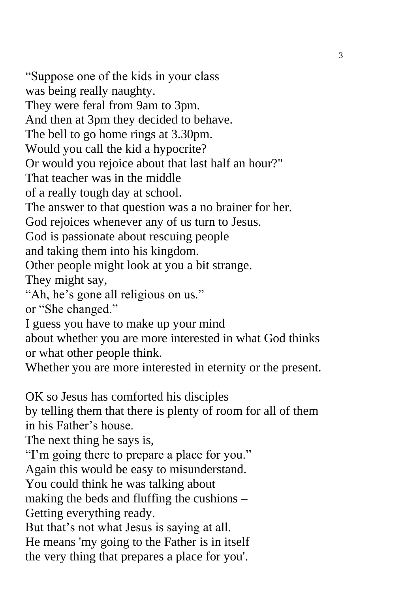"Suppose one of the kids in your class was being really naughty. They were feral from 9am to 3pm. And then at 3pm they decided to behave. The bell to go home rings at 3.30pm. Would you call the kid a hypocrite? Or would you rejoice about that last half an hour?" That teacher was in the middle of a really tough day at school. The answer to that question was a no brainer for her. God rejoices whenever any of us turn to Jesus. God is passionate about rescuing people and taking them into his kingdom. Other people might look at you a bit strange. They might say, "Ah, he's gone all religious on us." or "She changed." I guess you have to make up your mind about whether you are more interested in what God thinks or what other people think. Whether you are more interested in eternity or the present. OK so Jesus has comforted his disciples by telling them that there is plenty of room for all of them in his Father's house. The next thing he says is, "I'm going there to prepare a place for you." Again this would be easy to misunderstand. You could think he was talking about making the beds and fluffing the cushions – Getting everything ready. But that's not what Jesus is saying at all. He means 'my going to the Father is in itself the very thing that prepares a place for you'.

3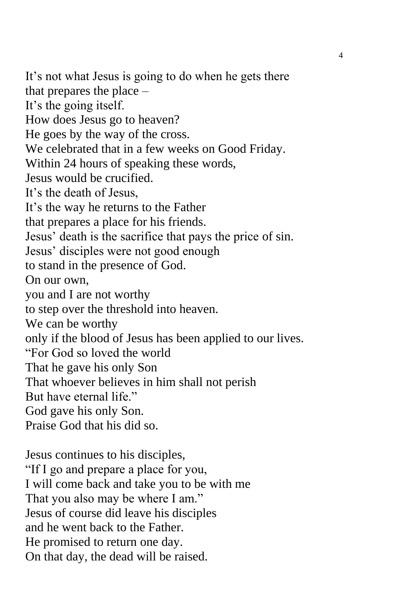It's not what Jesus is going to do when he gets there that prepares the place – It's the going itself. How does Jesus go to heaven? He goes by the way of the cross. We celebrated that in a few weeks on Good Friday. Within 24 hours of speaking these words, Jesus would be crucified. It's the death of Jesus, It's the way he returns to the Father that prepares a place for his friends. Jesus' death is the sacrifice that pays the price of sin. Jesus' disciples were not good enough to stand in the presence of God. On our own, you and I are not worthy to step over the threshold into heaven. We can be worthy only if the blood of Jesus has been applied to our lives. "For God so loved the world That he gave his only Son That whoever believes in him shall not perish But have eternal life." God gave his only Son. Praise God that his did so.

Jesus continues to his disciples, "If I go and prepare a place for you, I will come back and take you to be with me That you also may be where I am." Jesus of course did leave his disciples and he went back to the Father. He promised to return one day. On that day, the dead will be raised.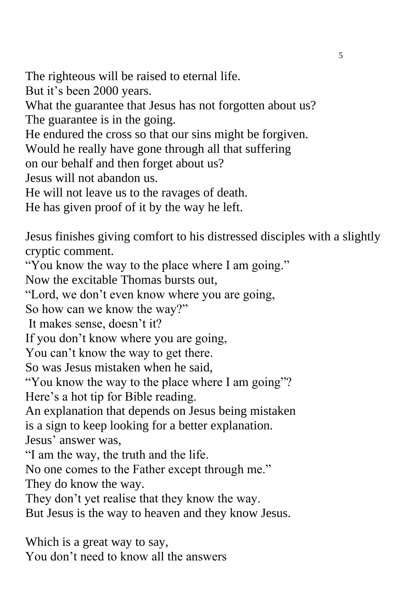The righteous will be raised to eternal life. But it's been 2000 years. What the guarantee that Jesus has not forgotten about us? The guarantee is in the going. He endured the cross so that our sins might be forgiven. Would he really have gone through all that suffering on our behalf and then forget about us? Jesus will not abandon us. He will not leave us to the ravages of death. He has given proof of it by the way he left.

Jesus finishes giving comfort to his distressed disciples with a slightly cryptic comment.

"You know the way to the place where I am going."

Now the excitable Thomas bursts out,

"Lord, we don't even know where you are going,

So how can we know the way?"

It makes sense, doesn't it?

If you don't know where you are going,

You can't know the way to get there.

So was Jesus mistaken when he said,

"You know the way to the place where I am going"?

Here's a hot tip for Bible reading.

An explanation that depends on Jesus being mistaken is a sign to keep looking for a better explanation.

Jesus' answer was,

"I am the way, the truth and the life.

No one comes to the Father except through me."

They do know the way.

They don't yet realise that they know the way.

But Jesus is the way to heaven and they know Jesus.

Which is a great way to say, You don't need to know all the answers